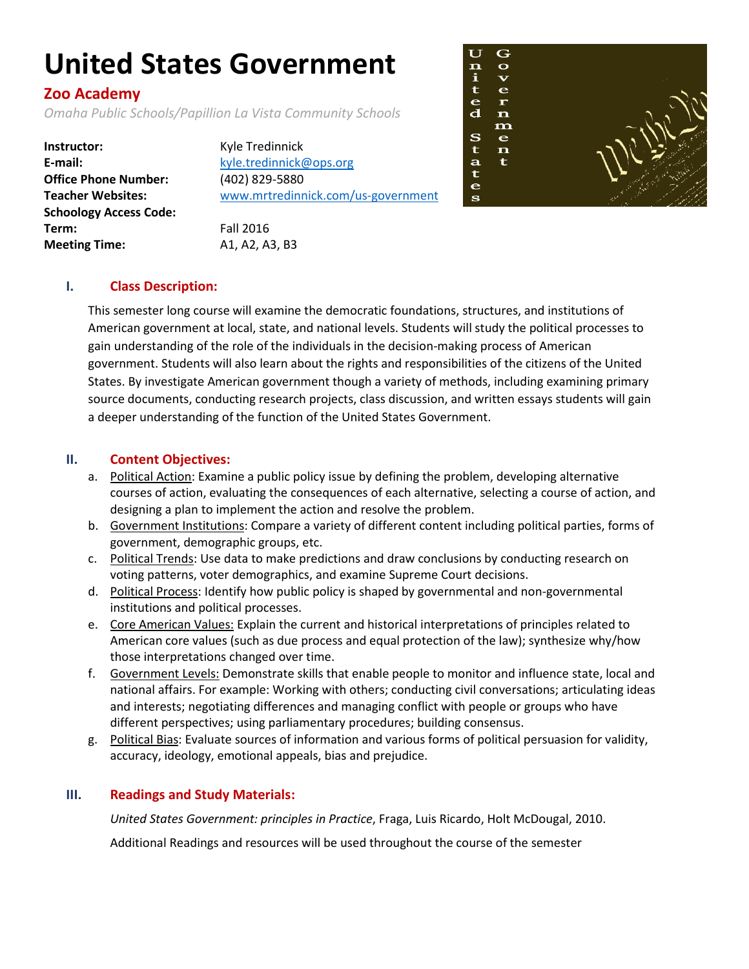# **United States Government**

# **Zoo Academy**

*Omaha Public Schools/Papillion La Vista Community Schools*

**Instructor:** Kyle Tredinnick **E-mail:** [kyle.tredinnick@ops.org](mailto:kyle.tredinnick@ops.org) **Office Phone Number:** (402) 829-5880 **Schoology Access Code: Term:** Fall 2016 **Meeting Time:** A1, A2, A3, B3

**Teacher Websites:** [www.mrtredinnick.com/us-government](http://www.mrtredinnick.com/us-government)



## **I. Class Description:**

This semester long course will examine the democratic foundations, structures, and institutions of American government at local, state, and national levels. Students will study the political processes to gain understanding of the role of the individuals in the decision-making process of American government. Students will also learn about the rights and responsibilities of the citizens of the United States. By investigate American government though a variety of methods, including examining primary source documents, conducting research projects, class discussion, and written essays students will gain a deeper understanding of the function of the United States Government.

#### **II. Content Objectives:**

- a. Political Action: Examine a public policy issue by defining the problem, developing alternative courses of action, evaluating the consequences of each alternative, selecting a course of action, and designing a plan to implement the action and resolve the problem.
- b. Government Institutions: Compare a variety of different content including political parties, forms of government, demographic groups, etc.
- c. Political Trends: Use data to make predictions and draw conclusions by conducting research on voting patterns, voter demographics, and examine Supreme Court decisions.
- d. Political Process: Identify how public policy is shaped by governmental and non-governmental institutions and political processes.
- e. Core American Values: Explain the current and historical interpretations of principles related to American core values (such as due process and equal protection of the law); synthesize why/how those interpretations changed over time.
- f. Government Levels: Demonstrate skills that enable people to monitor and influence state, local and national affairs. For example: Working with others; conducting civil conversations; articulating ideas and interests; negotiating differences and managing conflict with people or groups who have different perspectives; using parliamentary procedures; building consensus.
- g. Political Bias: Evaluate sources of information and various forms of political persuasion for validity, accuracy, ideology, emotional appeals, bias and prejudice.

### **III. Readings and Study Materials:**

*United States Government: principles in Practice*, Fraga, Luis Ricardo, Holt McDougal, 2010.

Additional Readings and resources will be used throughout the course of the semester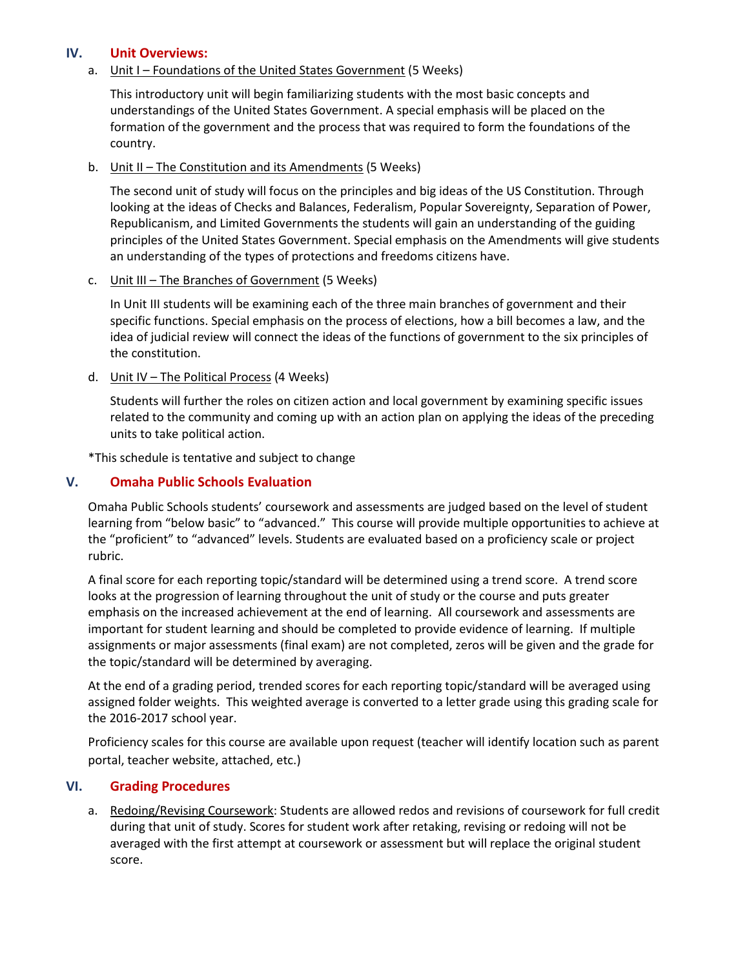#### **IV. Unit Overviews:**

#### a. Unit I – Foundations of the United States Government (5 Weeks)

This introductory unit will begin familiarizing students with the most basic concepts and understandings of the United States Government. A special emphasis will be placed on the formation of the government and the process that was required to form the foundations of the country.

b. Unit II – The Constitution and its Amendments (5 Weeks)

The second unit of study will focus on the principles and big ideas of the US Constitution. Through looking at the ideas of Checks and Balances, Federalism, Popular Sovereignty, Separation of Power, Republicanism, and Limited Governments the students will gain an understanding of the guiding principles of the United States Government. Special emphasis on the Amendments will give students an understanding of the types of protections and freedoms citizens have.

#### c. Unit III – The Branches of Government (5 Weeks)

In Unit III students will be examining each of the three main branches of government and their specific functions. Special emphasis on the process of elections, how a bill becomes a law, and the idea of judicial review will connect the ideas of the functions of government to the six principles of the constitution.

d. Unit IV – The Political Process (4 Weeks)

Students will further the roles on citizen action and local government by examining specific issues related to the community and coming up with an action plan on applying the ideas of the preceding units to take political action.

\*This schedule is tentative and subject to change

#### **V. Omaha Public Schools Evaluation**

Omaha Public Schools students' coursework and assessments are judged based on the level of student learning from "below basic" to "advanced." This course will provide multiple opportunities to achieve at the "proficient" to "advanced" levels. Students are evaluated based on a proficiency scale or project rubric.

A final score for each reporting topic/standard will be determined using a trend score. A trend score looks at the progression of learning throughout the unit of study or the course and puts greater emphasis on the increased achievement at the end of learning. All coursework and assessments are important for student learning and should be completed to provide evidence of learning. If multiple assignments or major assessments (final exam) are not completed, zeros will be given and the grade for the topic/standard will be determined by averaging.

At the end of a grading period, trended scores for each reporting topic/standard will be averaged using assigned folder weights. This weighted average is converted to a letter grade using this grading scale for the 2016-2017 school year.

Proficiency scales for this course are available upon request (teacher will identify location such as parent portal, teacher website, attached, etc.)

#### **VI. Grading Procedures**

a. Redoing/Revising Coursework: Students are allowed redos and revisions of coursework for full credit during that unit of study. Scores for student work after retaking, revising or redoing will not be averaged with the first attempt at coursework or assessment but will replace the original student score.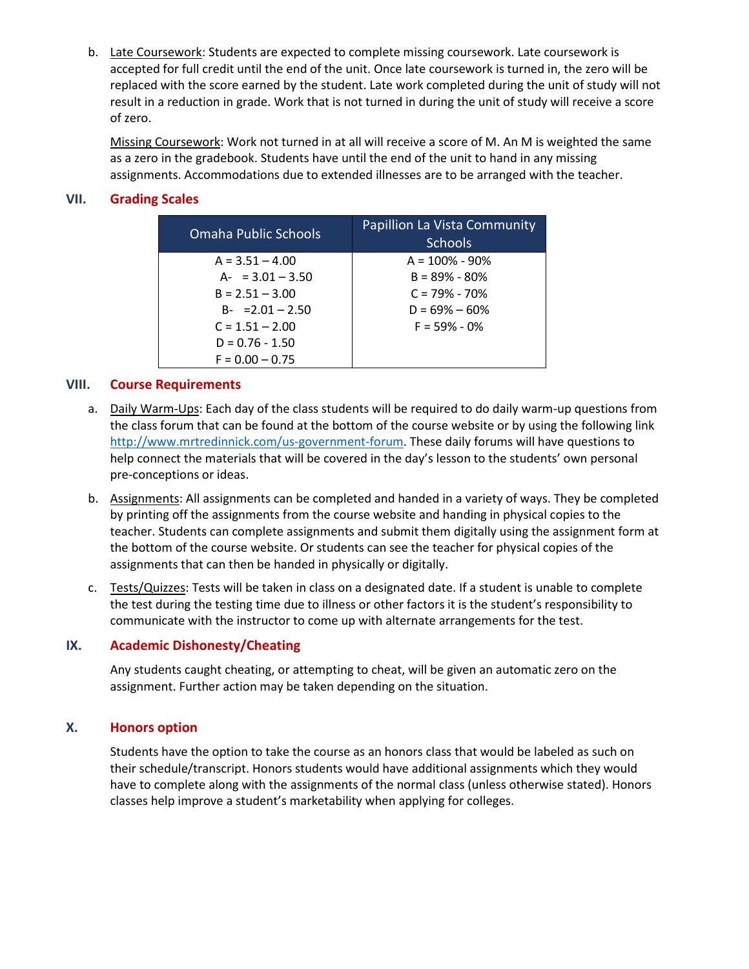b. Late Coursework: Students are expected to complete missing coursework. Late coursework is accepted for full credit until the end of the unit. Once late coursework is turned in, the zero will be replaced with the score earned by the student. Late work completed during the unit of study will not result in a reduction in grade. Work that is not turned in during the unit of study will receive a score of zero.

Missing Coursework: Work not turned in at all will receive a score of M. An M is weighted the same as a zero in the gradebook. Students have until the end of the unit to hand in any missing assignments. Accommodations due to extended illnesses are to be arranged with the teacher.

#### **VII. Grading Scales**

| <b>Omaha Public Schools</b> | Papillion La Vista Community<br><b>Schools</b> |
|-----------------------------|------------------------------------------------|
| $A = 3.51 - 4.00$           | $A = 100\% - 90\%$                             |
| $A - 3.01 - 3.50$           | $B = 89\% - 80\%$                              |
| $B = 2.51 - 3.00$           | $C = 79\% - 70\%$                              |
| $B - 2.01 - 2.50$           | $D = 69\% - 60\%$                              |
| $C = 1.51 - 2.00$           | $F = 59\% - 0\%$                               |
| $D = 0.76 - 1.50$           |                                                |
| $F = 0.00 - 0.75$           |                                                |

#### **VIII. Course Requirements**

- a. Daily Warm-Ups: Each day of the class students will be required to do daily warm-up questions from the class forum that can be found at the bottom of the course website or by using the following link [http://www.mrtredinnick.com/us-government-forum.](http://www.mrtredinnick.com/us-government-forum) These daily forums will have questions to help connect the materials that will be covered in the day's lesson to the students' own personal pre-conceptions or ideas.
- b. Assignments: All assignments can be completed and handed in a variety of ways. They be completed by printing off the assignments from the course website and handing in physical copies to the teacher. Students can complete assignments and submit them digitally using the assignment form at the bottom of the course website. Or students can see the teacher for physical copies of the assignments that can then be handed in physically or digitally.
- c. Tests/Quizzes: Tests will be taken in class on a designated date. If a student is unable to complete the test during the testing time due to illness or other factors it is the student's responsibility to communicate with the instructor to come up with alternate arrangements for the test.

#### **IX. Academic Dishonesty/Cheating**

Any students caught cheating, or attempting to cheat, will be given an automatic zero on the assignment. Further action may be taken depending on the situation.

#### **X. Honors option**

Students have the option to take the course as an honors class that would be labeled as such on their schedule/transcript. Honors students would have additional assignments which they would have to complete along with the assignments of the normal class (unless otherwise stated). Honors classes help improve a student's marketability when applying for colleges.